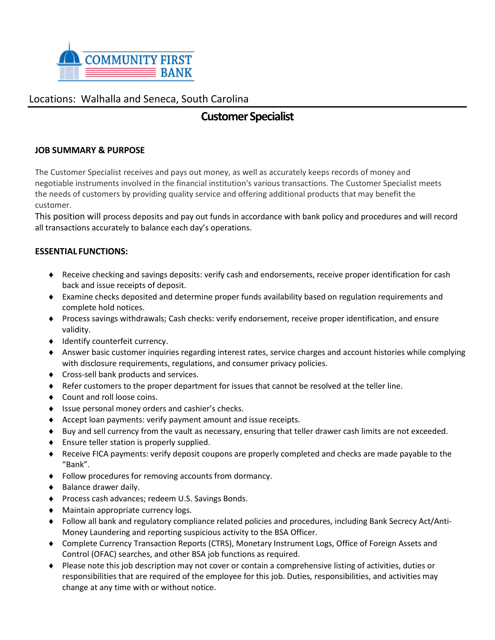

## Locations: Walhalla and Seneca, South Carolina

# **Customer Specialist**

## **JOB SUMMARY & PURPOSE**

The Customer Specialist receives and pays out money, as well as accurately keeps records of money and negotiable instruments involved in the financial institution's various transactions. The Customer Specialist meets the needs of customers by providing quality service and offering additional products that may benefit the customer.

This position will process deposits and pay out funds in accordance with bank policy and procedures and will record all transactions accurately to balance each day's operations.

## **ESSENTIAL FUNCTIONS:**

- Receive checking and savings deposits: verify cash and endorsements, receive proper identification for cash back and issue receipts of deposit.
- Examine checks deposited and determine proper funds availability based on regulation requirements and complete hold notices.
- Process savings withdrawals; Cash checks: verify endorsement, receive proper identification, and ensure validity.
- $\bullet$  Identify counterfeit currency.
- Answer basic customer inquiries regarding interest rates, service charges and account histories while complying with disclosure requirements, regulations, and consumer privacy policies.
- ◆ Cross-sell bank products and services.
- Refer customers to the proper department for issues that cannot be resolved at the teller line.
- ◆ Count and roll loose coins.
- ◆ Issue personal money orders and cashier's checks.
- Accept loan payments: verify payment amount and issue receipts.
- Buy and sell currency from the vault as necessary, ensuring that teller drawer cash limits are not exceeded.
- Ensure teller station is properly supplied.
- Receive FICA payments: verify deposit coupons are properly completed and checks are made payable to the "Bank".
- Follow procedures for removing accounts from dormancy.
- $\bullet$  Balance drawer daily.
- ◆ Process cash advances; redeem U.S. Savings Bonds.
- Maintain appropriate currency logs.
- Follow all bank and regulatory compliance related policies and procedures, including Bank Secrecy Act/Anti-Money Laundering and reporting suspicious activity to the BSA Officer.
- Complete Currency Transaction Reports (CTRS), Monetary Instrument Logs, Office of Foreign Assets and Control (OFAC) searches, and other BSA job functions as required.
- Please note this job description may not cover or contain a comprehensive listing of activities, duties or responsibilities that are required of the employee for this job. Duties, responsibilities, and activities may change at any time with or without notice.